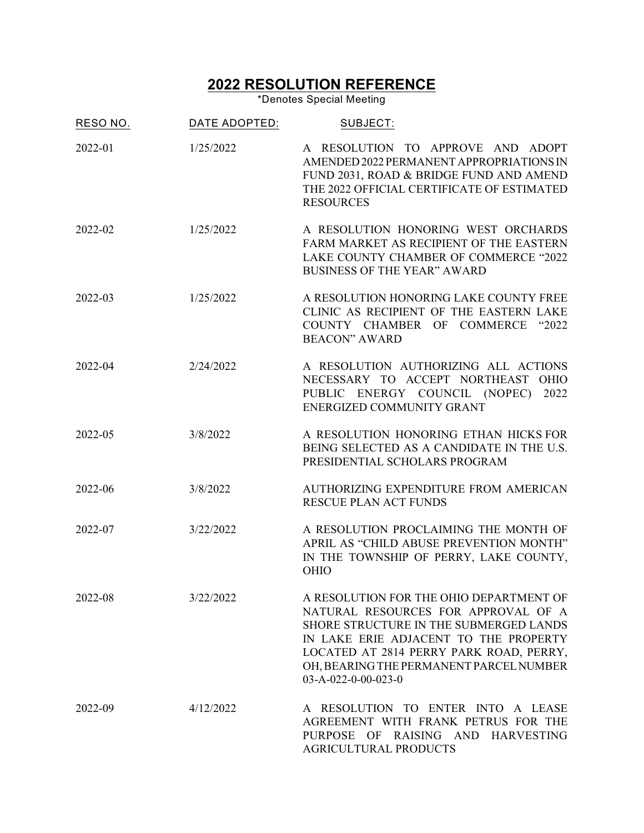## **2022 RESOLUTION REFERENCE**

\*Denotes Special Meeting

| RESO NO. | DATE ADOPTED: | SUBJECT:                                                                                                                                                                                                                                                                       |
|----------|---------------|--------------------------------------------------------------------------------------------------------------------------------------------------------------------------------------------------------------------------------------------------------------------------------|
| 2022-01  | 1/25/2022     | A RESOLUTION TO APPROVE AND ADOPT<br>AMENDED 2022 PERMANENT APPROPRIATIONS IN<br>FUND 2031, ROAD & BRIDGE FUND AND AMEND<br>THE 2022 OFFICIAL CERTIFICATE OF ESTIMATED<br><b>RESOURCES</b>                                                                                     |
| 2022-02  | 1/25/2022     | A RESOLUTION HONORING WEST ORCHARDS<br>FARM MARKET AS RECIPIENT OF THE EASTERN<br>LAKE COUNTY CHAMBER OF COMMERCE "2022<br><b>BUSINESS OF THE YEAR" AWARD</b>                                                                                                                  |
| 2022-03  | 1/25/2022     | A RESOLUTION HONORING LAKE COUNTY FREE<br>CLINIC AS RECIPIENT OF THE EASTERN LAKE<br>COUNTY CHAMBER OF COMMERCE "2022<br><b>BEACON" AWARD</b>                                                                                                                                  |
| 2022-04  | 2/24/2022     | A RESOLUTION AUTHORIZING ALL ACTIONS<br>NECESSARY TO ACCEPT NORTHEAST OHIO<br>PUBLIC ENERGY COUNCIL (NOPEC)<br>2022<br>ENERGIZED COMMUNITY GRANT                                                                                                                               |
| 2022-05  | 3/8/2022      | A RESOLUTION HONORING ETHAN HICKS FOR<br>BEING SELECTED AS A CANDIDATE IN THE U.S.<br>PRESIDENTIAL SCHOLARS PROGRAM                                                                                                                                                            |
| 2022-06  | 3/8/2022      | AUTHORIZING EXPENDITURE FROM AMERICAN<br><b>RESCUE PLAN ACT FUNDS</b>                                                                                                                                                                                                          |
| 2022-07  | 3/22/2022     | A RESOLUTION PROCLAIMING THE MONTH OF<br>APRIL AS "CHILD ABUSE PREVENTION MONTH"<br>IN THE TOWNSHIP OF PERRY, LAKE COUNTY,<br><b>OHIO</b>                                                                                                                                      |
| 2022-08  | 3/22/2022     | A RESOLUTION FOR THE OHIO DEPARTMENT OF<br>NATURAL RESOURCES FOR APPROVAL OF A<br>SHORE STRUCTURE IN THE SUBMERGED LANDS<br>IN LAKE ERIE ADJACENT TO THE PROPERTY<br>LOCATED AT 2814 PERRY PARK ROAD, PERRY,<br>OH, BEARING THE PERMANENT PARCEL NUMBER<br>03-A-022-0-00-023-0 |
| 2022-09  | 4/12/2022     | A RESOLUTION TO ENTER INTO A LEASE<br>AGREEMENT WITH FRANK PETRUS FOR THE<br>PURPOSE OF RAISING AND HARVESTING<br><b>AGRICULTURAL PRODUCTS</b>                                                                                                                                 |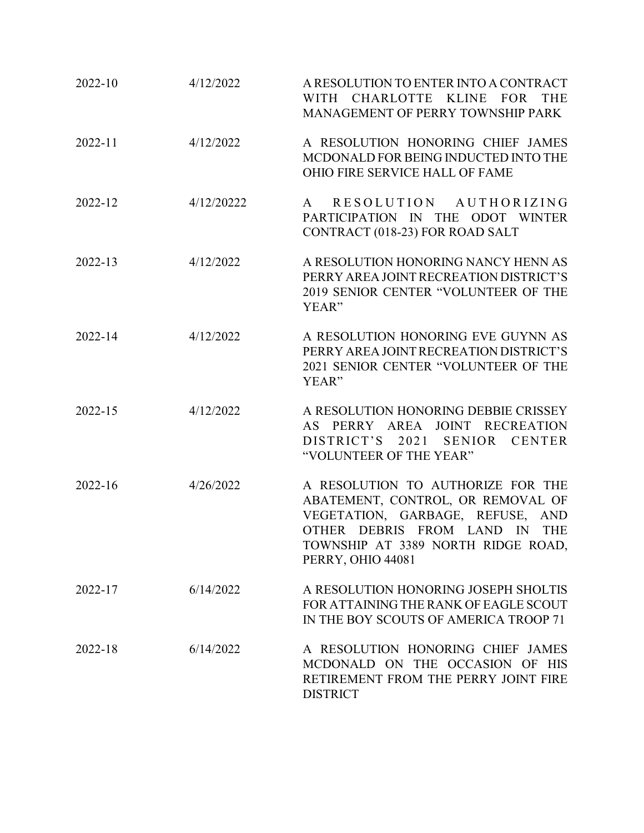| 2022-10 | 4/12/2022  | A RESOLUTION TO ENTER INTO A CONTRACT<br>WITH CHARLOTTE KLINE FOR<br><b>THE</b><br>MANAGEMENT OF PERRY TOWNSHIP PARK                                                                                                       |
|---------|------------|----------------------------------------------------------------------------------------------------------------------------------------------------------------------------------------------------------------------------|
| 2022-11 | 4/12/2022  | A RESOLUTION HONORING CHIEF JAMES<br>MCDONALD FOR BEING INDUCTED INTO THE<br><b>OHIO FIRE SERVICE HALL OF FAME</b>                                                                                                         |
| 2022-12 | 4/12/20222 | RESOLUTION AUTHORIZING<br>A<br>PARTICIPATION IN THE ODOT WINTER<br>CONTRACT (018-23) FOR ROAD SALT                                                                                                                         |
| 2022-13 | 4/12/2022  | A RESOLUTION HONORING NANCY HENN AS<br>PERRY AREA JOINT RECREATION DISTRICT'S<br>2019 SENIOR CENTER "VOLUNTEER OF THE<br>YEAR"                                                                                             |
| 2022-14 | 4/12/2022  | A RESOLUTION HONORING EVE GUYNN AS<br>PERRY AREA JOINT RECREATION DISTRICT'S<br>2021 SENIOR CENTER "VOLUNTEER OF THE<br>YEAR"                                                                                              |
| 2022-15 | 4/12/2022  | A RESOLUTION HONORING DEBBIE CRISSEY<br>AS PERRY AREA JOINT RECREATION<br>DISTRICT'S 2021<br>SENIOR<br><b>CENTER</b><br>"VOLUNTEER OF THE YEAR"                                                                            |
| 2022-16 | 4/26/2022  | A RESOLUTION TO AUTHORIZE FOR THE<br>ABATEMENT, CONTROL, OR REMOVAL OF<br>VEGETATION, GARBAGE, REFUSE,<br><b>AND</b><br>OTHER DEBRIS FROM LAND IN<br><b>THE</b><br>TOWNSHIP AT 3389 NORTH RIDGE ROAD,<br>PERRY, OHIO 44081 |
| 2022-17 | 6/14/2022  | A RESOLUTION HONORING JOSEPH SHOLTIS<br>FOR ATTAINING THE RANK OF EAGLE SCOUT<br>IN THE BOY SCOUTS OF AMERICA TROOP 71                                                                                                     |
| 2022-18 | 6/14/2022  | A RESOLUTION HONORING CHIEF JAMES<br>MCDONALD ON THE OCCASION OF HIS<br>RETIREMENT FROM THE PERRY JOINT FIRE<br><b>DISTRICT</b>                                                                                            |